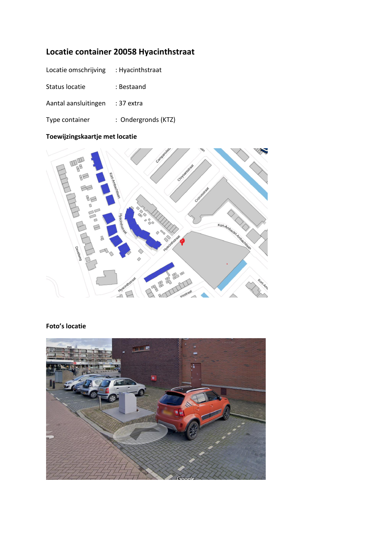# **Locatie container 20058 Hyacinthstraat**

| Locatie omschrijving | : Hyacinthstraat    |
|----------------------|---------------------|
| Status locatie       | : Bestaand          |
| Aantal aansluitingen | $:37$ extra         |
| Type container       | : Ondergronds (KTZ) |

# **Toewijzingskaartje met locatie**



## **Foto's locatie**

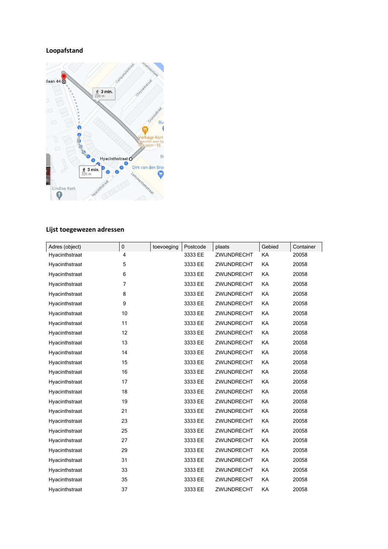### **Loopafstand**



### **Lijst toegewezen adressen**

| Adres (object) | $\pmb{0}$ | toevoeging | Postcode | plaats      | Gebied    | Container |
|----------------|-----------|------------|----------|-------------|-----------|-----------|
| Hyacinthstraat | 4         |            | 3333 EE  | ZWIJNDRECHT | KA        | 20058     |
| Hyacinthstraat | 5         |            | 3333 EE  | ZWIJNDRECHT | KA        | 20058     |
| Hyacinthstraat | 6         |            | 3333 EE  | ZWIJNDRECHT | KA        | 20058     |
| Hyacinthstraat | 7         |            | 3333 EE  | ZWIJNDRECHT | KA        | 20058     |
| Hyacinthstraat | 8         |            | 3333 EE  | ZWIJNDRECHT | KA        | 20058     |
| Hyacinthstraat | 9         |            | 3333 EE  | ZWIJNDRECHT | KA        | 20058     |
| Hyacinthstraat | 10        |            | 3333 EE  | ZWIJNDRECHT | KA        | 20058     |
| Hyacinthstraat | 11        |            | 3333 EE  | ZWIJNDRECHT | KA        | 20058     |
| Hyacinthstraat | 12        |            | 3333 EE  | ZWIJNDRECHT | KA        | 20058     |
| Hyacinthstraat | 13        |            | 3333 EE  | ZWIJNDRECHT | KA        | 20058     |
| Hyacinthstraat | 14        |            | 3333 EE  | ZWIJNDRECHT | KA        | 20058     |
| Hyacinthstraat | 15        |            | 3333 EE  | ZWIJNDRECHT | KA        | 20058     |
| Hyacinthstraat | 16        |            | 3333 EE  | ZWIJNDRECHT | KA        | 20058     |
| Hyacinthstraat | 17        |            | 3333 EE  | ZWIJNDRECHT | KA        | 20058     |
| Hyacinthstraat | 18        |            | 3333 EE  | ZWIJNDRECHT | KA        | 20058     |
| Hyacinthstraat | 19        |            | 3333 EE  | ZWIJNDRECHT | KA        | 20058     |
| Hyacinthstraat | 21        |            | 3333 EE  | ZWIJNDRECHT | KA        | 20058     |
| Hyacinthstraat | 23        |            | 3333 EE  | ZWIJNDRECHT | <b>KA</b> | 20058     |
| Hyacinthstraat | 25        |            | 3333 EE  | ZWIJNDRECHT | KA        | 20058     |
| Hyacinthstraat | 27        |            | 3333 EE  | ZWIJNDRECHT | KA        | 20058     |
| Hyacinthstraat | 29        |            | 3333 EE  | ZWIJNDRECHT | KA        | 20058     |
| Hyacinthstraat | 31        |            | 3333 EE  | ZWIJNDRECHT | KA        | 20058     |
| Hyacinthstraat | 33        |            | 3333 EE  | ZWIJNDRECHT | KA        | 20058     |
| Hyacinthstraat | 35        |            | 3333 EE  | ZWIJNDRECHT | KA        | 20058     |
| Hyacinthstraat | 37        |            | 3333 EE  | ZWIJNDRECHT | KA        | 20058     |